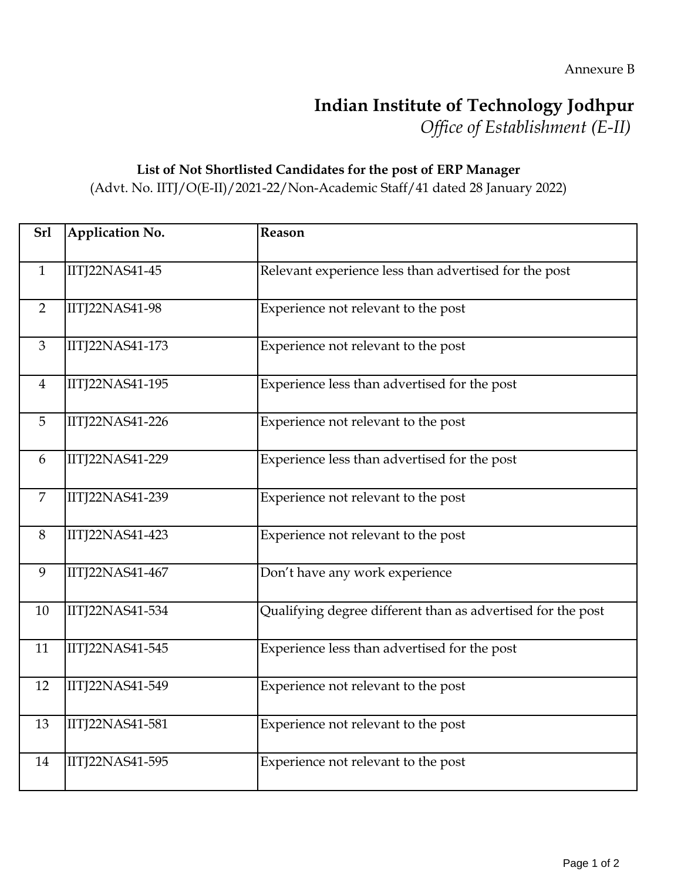## **Indian Institute of Technology Jodhpur**

*Office of Establishment (E-II)*

## **List of Not Shortlisted Candidates for the post of ERP Manager**

(Advt. No. IITJ/O(E-II)/2021-22/Non-Academic Staff/41 dated 28 January 2022)

| <b>Srl</b>     | Application No.        | Reason                                                      |
|----------------|------------------------|-------------------------------------------------------------|
| $\mathbf{1}$   | IITJ22NAS41-45         | Relevant experience less than advertised for the post       |
| 2              | IITJ22NAS41-98         | Experience not relevant to the post                         |
| 3              | <b>IITJ22NAS41-173</b> | Experience not relevant to the post                         |
| $\overline{4}$ | IITJ22NAS41-195        | Experience less than advertised for the post                |
| 5              | <b>IITJ22NAS41-226</b> | Experience not relevant to the post                         |
| 6              | IITJ22NAS41-229        | Experience less than advertised for the post                |
| 7              | IITJ22NAS41-239        | Experience not relevant to the post                         |
| 8              | IITJ22NAS41-423        | Experience not relevant to the post                         |
| 9              | IITJ22NAS41-467        | Don't have any work experience                              |
| 10             | IITJ22NAS41-534        | Qualifying degree different than as advertised for the post |
| 11             | IITJ22NAS41-545        | Experience less than advertised for the post                |
| 12             | IITJ22NAS41-549        | Experience not relevant to the post                         |
| 13             | IITJ22NAS41-581        | Experience not relevant to the post                         |
| 14             | IITJ22NAS41-595        | Experience not relevant to the post                         |